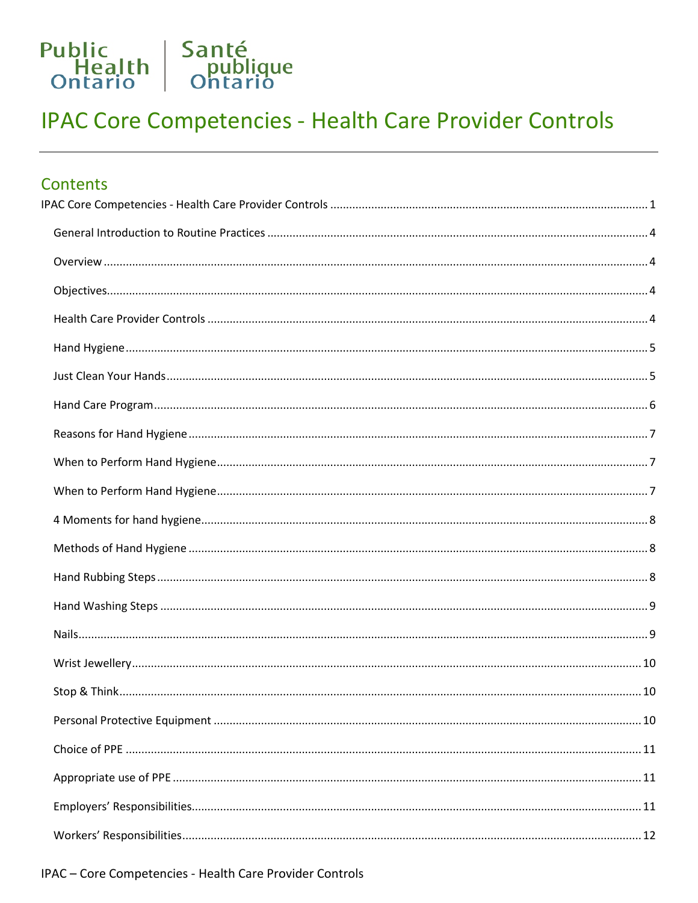<span id="page-0-0"></span>

| Contents |  |
|----------|--|
|          |  |
|          |  |
|          |  |
|          |  |
|          |  |
|          |  |
|          |  |
|          |  |
|          |  |
|          |  |
|          |  |
|          |  |
|          |  |
|          |  |
|          |  |
|          |  |
|          |  |
|          |  |
|          |  |
|          |  |
|          |  |
|          |  |
|          |  |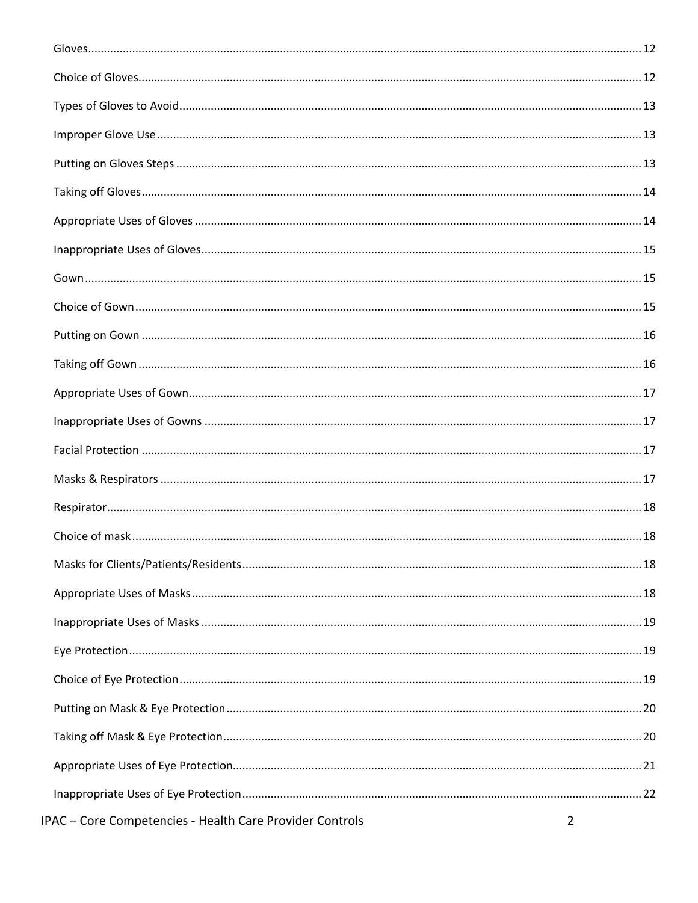| IPAC - Core Competencies - Health Care Provider Controls | $\overline{2}$ |
|----------------------------------------------------------|----------------|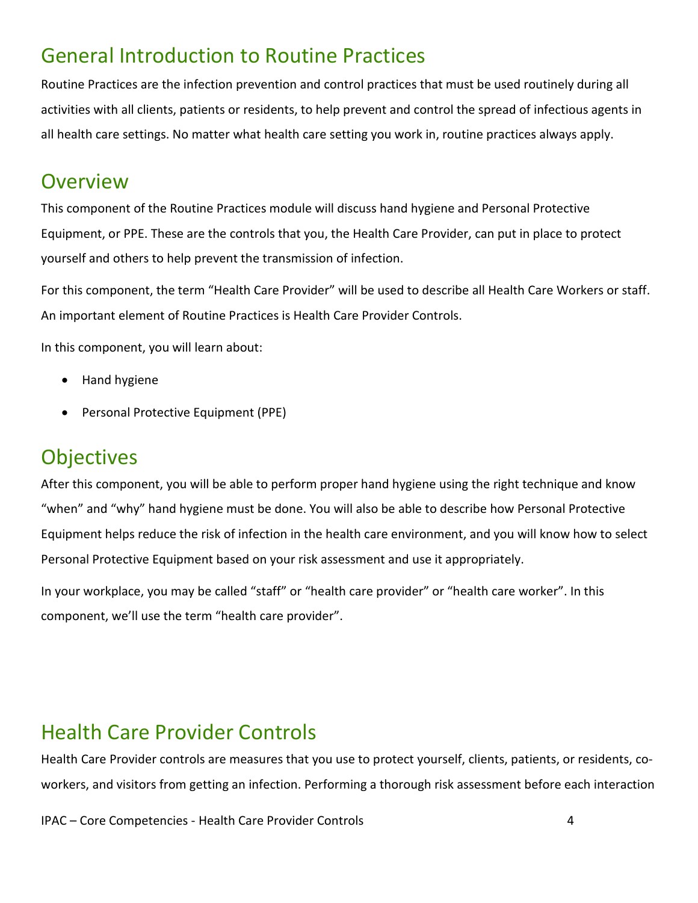## <span id="page-3-0"></span>General Introduction to Routine Practices

Routine Practices are the infection prevention and control practices that must be used routinely during all activities with all clients, patients or residents, to help prevent and control the spread of infectious agents in all health care settings. No matter what health care setting you work in, routine practices always apply.

#### <span id="page-3-1"></span>**Overview**

This component of the Routine Practices module will discuss hand hygiene and Personal Protective Equipment, or PPE. These are the controls that you, the Health Care Provider, can put in place to protect yourself and others to help prevent the transmission of infection.

For this component, the term "Health Care Provider" will be used to describe all Health Care Workers or staff. An important element of Routine Practices is Health Care Provider Controls.

In this component, you will learn about:

- Hand hygiene
- Personal Protective Equipment (PPE)

#### <span id="page-3-2"></span>**Objectives**

After this component, you will be able to perform proper hand hygiene using the right technique and know "when" and "why" hand hygiene must be done. You will also be able to describe how Personal Protective Equipment helps reduce the risk of infection in the health care environment, and you will know how to select Personal Protective Equipment based on your risk assessment and use it appropriately.

In your workplace, you may be called "staff" or "health care provider" or "health care worker". In this component, we'll use the term "health care provider".

#### <span id="page-3-3"></span>Health Care Provider Controls

Health Care Provider controls are measures that you use to protect yourself, clients, patients, or residents, coworkers, and visitors from getting an infection. Performing a thorough risk assessment before each interaction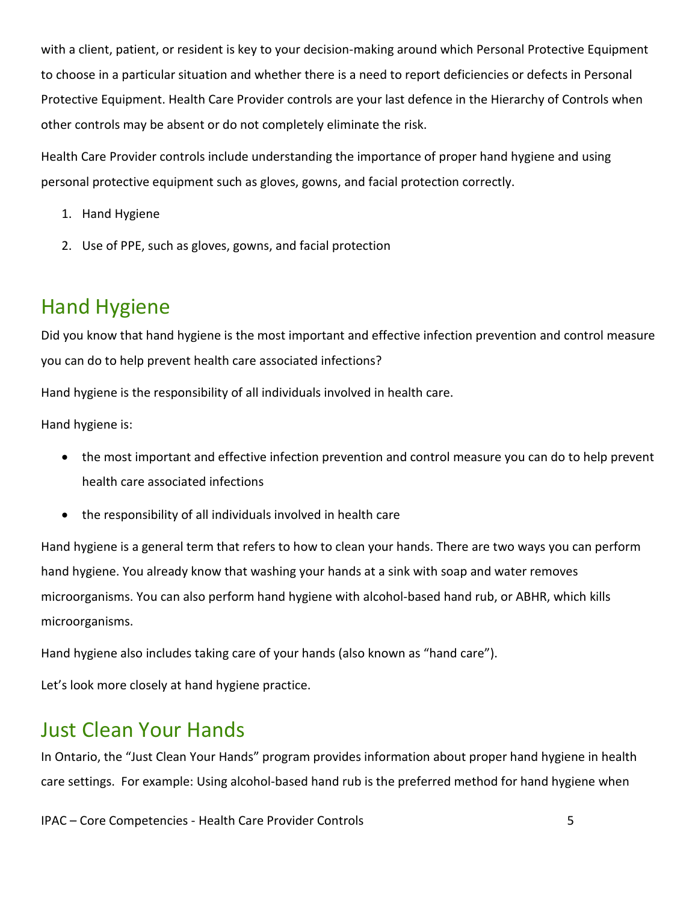with a client, patient, or resident is key to your decision-making around which Personal Protective Equipment to choose in a particular situation and whether there is a need to report deficiencies or defects in Personal Protective Equipment. Health Care Provider controls are your last defence in the Hierarchy of Controls when other controls may be absent or do not completely eliminate the risk.

Health Care Provider controls include understanding the importance of proper hand hygiene and using personal protective equipment such as gloves, gowns, and facial protection correctly.

- 1. Hand Hygiene
- 2. Use of PPE, such as gloves, gowns, and facial protection

#### <span id="page-4-0"></span>Hand Hygiene

Did you know that hand hygiene is the most important and effective infection prevention and control measure you can do to help prevent health care associated infections?

Hand hygiene is the responsibility of all individuals involved in health care.

Hand hygiene is:

- the most important and effective infection prevention and control measure you can do to help prevent health care associated infections
- the responsibility of all individuals involved in health care

Hand hygiene is a general term that refers to how to clean your hands. There are two ways you can perform hand hygiene. You already know that washing your hands at a sink with soap and water removes microorganisms. You can also perform hand hygiene with alcohol-based hand rub, or ABHR, which kills microorganisms.

Hand hygiene also includes taking care of your hands (also known as "hand care").

Let's look more closely at hand hygiene practice.

#### <span id="page-4-1"></span>Just Clean Your Hands

In Ontario, the "Just Clean Your Hands" program provides information about proper hand hygiene in health care settings. For example: Using alcohol-based hand rub is the preferred method for hand hygiene when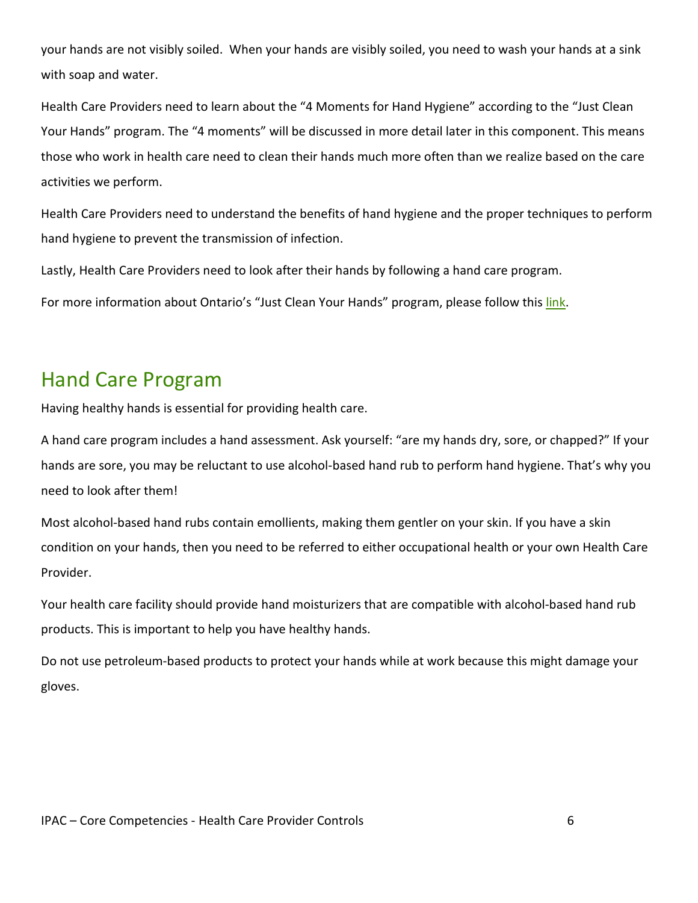your hands are not visibly soiled. When your hands are visibly soiled, you need to wash your hands at a sink with soap and water.

Health Care Providers need to learn about the "4 Moments for Hand Hygiene" according to the "Just Clean Your Hands" program. The "4 moments" will be discussed in more detail later in this component. This means those who work in health care need to clean their hands much more often than we realize based on the care activities we perform.

Health Care Providers need to understand the benefits of hand hygiene and the proper techniques to perform hand hygiene to prevent the transmission of infection.

Lastly, Health Care Providers need to look after their hands by following a hand care program.

For more information about Ontario's "Just Clean Your Hands" program, please follow this [link.](https://www.publichealthontario.ca/-/media/documents/J/2009/jcyh-hand-care-program.pdf?la=en)

#### <span id="page-5-0"></span>Hand Care Program

Having healthy hands is essential for providing health care.

A hand care program includes a hand assessment. Ask yourself: "are my hands dry, sore, or chapped?" If your hands are sore, you may be reluctant to use alcohol-based hand rub to perform hand hygiene. That's why you need to look after them!

Most alcohol-based hand rubs contain emollients, making them gentler on your skin. If you have a skin condition on your hands, then you need to be referred to either occupational health or your own Health Care Provider.

Your health care facility should provide hand moisturizers that are compatible with alcohol-based hand rub products. This is important to help you have healthy hands.

Do not use petroleum-based products to protect your hands while at work because this might damage your gloves.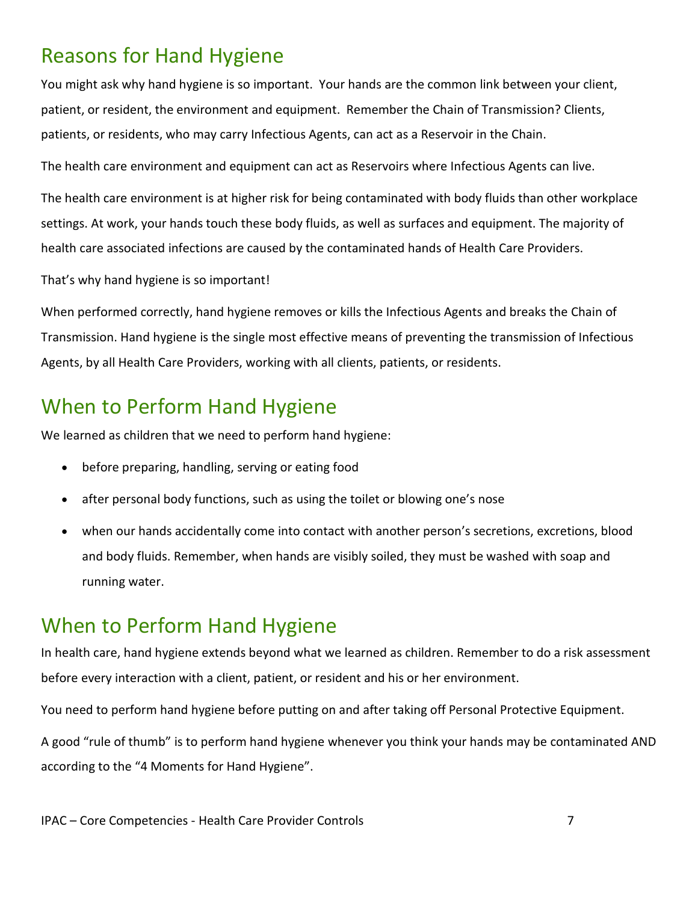# <span id="page-6-0"></span>Reasons for Hand Hygiene

You might ask why hand hygiene is so important. Your hands are the common link between your client, patient, or resident, the environment and equipment. Remember the Chain of Transmission? Clients, patients, or residents, who may carry Infectious Agents, can act as a Reservoir in the Chain.

The health care environment and equipment can act as Reservoirs where Infectious Agents can live.

The health care environment is at higher risk for being contaminated with body fluids than other workplace settings. At work, your hands touch these body fluids, as well as surfaces and equipment. The majority of health care associated infections are caused by the contaminated hands of Health Care Providers.

That's why hand hygiene is so important!

When performed correctly, hand hygiene removes or kills the Infectious Agents and breaks the Chain of Transmission. Hand hygiene is the single most effective means of preventing the transmission of Infectious Agents, by all Health Care Providers, working with all clients, patients, or residents.

#### <span id="page-6-1"></span>When to Perform Hand Hygiene

We learned as children that we need to perform hand hygiene:

- before preparing, handling, serving or eating food
- after personal body functions, such as using the toilet or blowing one's nose
- when our hands accidentally come into contact with another person's secretions, excretions, blood and body fluids. Remember, when hands are visibly soiled, they must be washed with soap and running water.

#### <span id="page-6-2"></span>When to Perform Hand Hygiene

In health care, hand hygiene extends beyond what we learned as children. Remember to do a risk assessment before every interaction with a client, patient, or resident and his or her environment.

You need to perform hand hygiene before putting on and after taking off Personal Protective Equipment.

A good "rule of thumb" is to perform hand hygiene whenever you think your hands may be contaminated AND according to the "4 Moments for Hand Hygiene".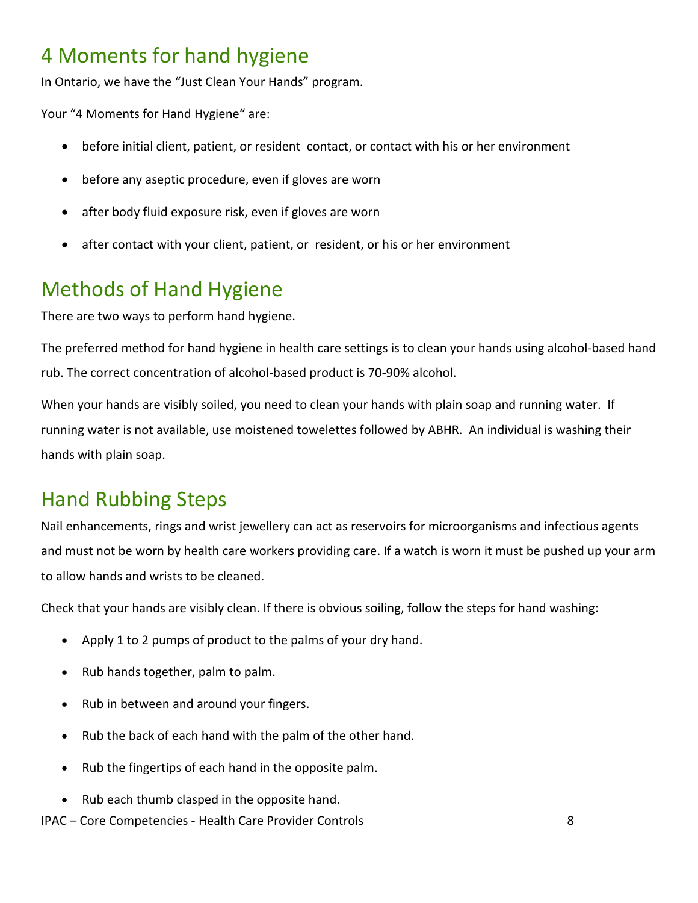# <span id="page-7-0"></span>4 Moments for hand hygiene

In Ontario, we have the "Just Clean Your Hands" program.

Your "4 Moments for Hand Hygiene" are:

- before initial client, patient, or resident contact, or contact with his or her environment
- before any aseptic procedure, even if gloves are worn
- after body fluid exposure risk, even if gloves are worn
- after contact with your client, patient, or resident, or his or her environment

# <span id="page-7-1"></span>Methods of Hand Hygiene

There are two ways to perform hand hygiene.

The preferred method for hand hygiene in health care settings is to clean your hands using alcohol-based hand rub. The correct concentration of alcohol-based product is 70-90% alcohol.

When your hands are visibly soiled, you need to clean your hands with plain soap and running water. If running water is not available, use moistened towelettes followed by ABHR. An individual is washing their hands with plain soap.

# <span id="page-7-2"></span>Hand Rubbing Steps

Nail enhancements, rings and wrist jewellery can act as reservoirs for microorganisms and infectious agents and must not be worn by health care workers providing care. If a watch is worn it must be pushed up your arm to allow hands and wrists to be cleaned.

Check that your hands are visibly clean. If there is obvious soiling, follow the steps for hand washing:

- Apply 1 to 2 pumps of product to the palms of your dry hand.
- Rub hands together, palm to palm.
- Rub in between and around your fingers.
- Rub the back of each hand with the palm of the other hand.
- Rub the fingertips of each hand in the opposite palm.
- Rub each thumb clasped in the opposite hand.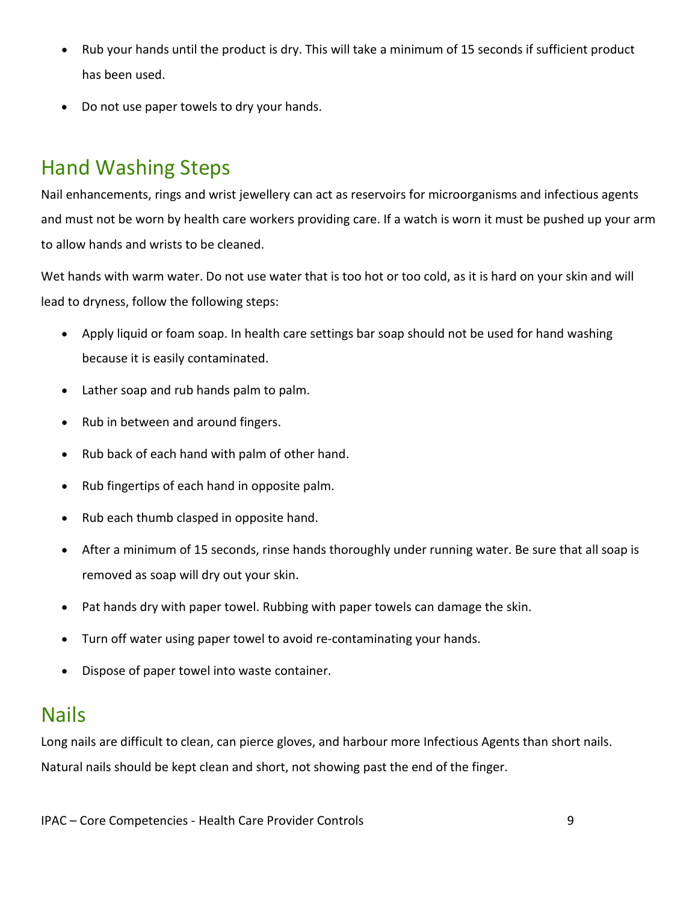- Rub your hands until the product is dry. This will take a minimum of 15 seconds if sufficient product has been used.
- Do not use paper towels to dry your hands.

# <span id="page-8-0"></span>Hand Washing Steps

Nail enhancements, rings and wrist jewellery can act as reservoirs for microorganisms and infectious agents and must not be worn by health care workers providing care. If a watch is worn it must be pushed up your arm to allow hands and wrists to be cleaned.

Wet hands with warm water. Do not use water that is too hot or too cold, as it is hard on your skin and will lead to dryness, follow the following steps:

- Apply liquid or foam soap. In health care settings bar soap should not be used for hand washing because it is easily contaminated.
- Lather soap and rub hands palm to palm.
- Rub in between and around fingers.
- Rub back of each hand with palm of other hand.
- Rub fingertips of each hand in opposite palm.
- Rub each thumb clasped in opposite hand.
- After a minimum of 15 seconds, rinse hands thoroughly under running water. Be sure that all soap is removed as soap will dry out your skin.
- Pat hands dry with paper towel. Rubbing with paper towels can damage the skin.
- Turn off water using paper towel to avoid re-contaminating your hands.
- Dispose of paper towel into waste container.

#### <span id="page-8-1"></span>Nails

Long nails are difficult to clean, can pierce gloves, and harbour more Infectious Agents than short nails. Natural nails should be kept clean and short, not showing past the end of the finger.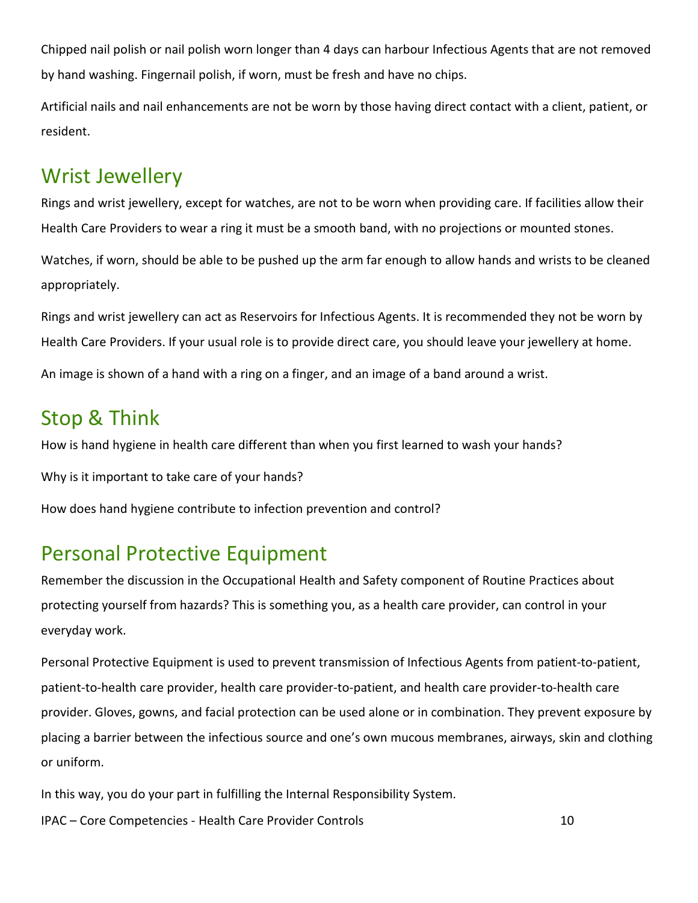Chipped nail polish or nail polish worn longer than 4 days can harbour Infectious Agents that are not removed by hand washing. Fingernail polish, if worn, must be fresh and have no chips.

Artificial nails and nail enhancements are not be worn by those having direct contact with a client, patient, or resident.

#### <span id="page-9-0"></span>Wrist Jewellery

Rings and wrist jewellery, except for watches, are not to be worn when providing care. If facilities allow their Health Care Providers to wear a ring it must be a smooth band, with no projections or mounted stones.

Watches, if worn, should be able to be pushed up the arm far enough to allow hands and wrists to be cleaned appropriately.

Rings and wrist jewellery can act as Reservoirs for Infectious Agents. It is recommended they not be worn by Health Care Providers. If your usual role is to provide direct care, you should leave your jewellery at home.

An image is shown of a hand with a ring on a finger, and an image of a band around a wrist.

# <span id="page-9-1"></span>Stop & Think

How is hand hygiene in health care different than when you first learned to wash your hands?

Why is it important to take care of your hands?

How does hand hygiene contribute to infection prevention and control?

# <span id="page-9-2"></span>Personal Protective Equipment

Remember the discussion in the Occupational Health and Safety component of Routine Practices about protecting yourself from hazards? This is something you, as a health care provider, can control in your everyday work.

Personal Protective Equipment is used to prevent transmission of Infectious Agents from patient-to-patient, patient-to-health care provider, health care provider-to-patient, and health care provider-to-health care provider. Gloves, gowns, and facial protection can be used alone or in combination. They prevent exposure by placing a barrier between the infectious source and one's own mucous membranes, airways, skin and clothing or uniform.

IPAC – Core Competencies - Health Care Provider Controls 10 In this way, you do your part in fulfilling the Internal Responsibility System.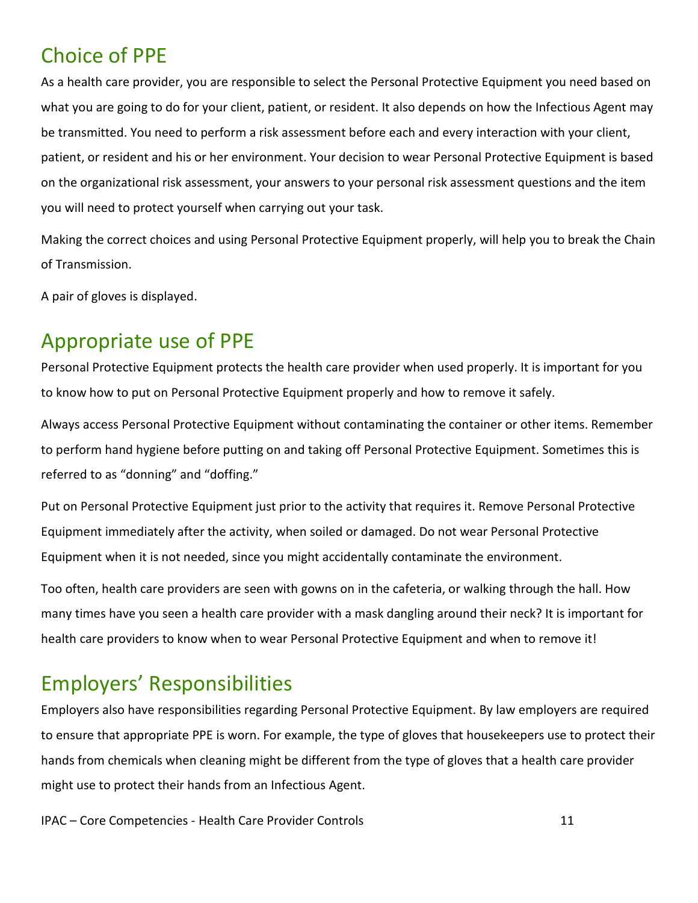#### <span id="page-10-0"></span>Choice of PPE

As a health care provider, you are responsible to select the Personal Protective Equipment you need based on what you are going to do for your client, patient, or resident. It also depends on how the Infectious Agent may be transmitted. You need to perform a risk assessment before each and every interaction with your client, patient, or resident and his or her environment. Your decision to wear Personal Protective Equipment is based on the organizational risk assessment, your answers to your personal risk assessment questions and the item you will need to protect yourself when carrying out your task.

Making the correct choices and using Personal Protective Equipment properly, will help you to break the Chain of Transmission.

A pair of gloves is displayed.

#### <span id="page-10-1"></span>Appropriate use of PPE

Personal Protective Equipment protects the health care provider when used properly. It is important for you to know how to put on Personal Protective Equipment properly and how to remove it safely.

Always access Personal Protective Equipment without contaminating the container or other items. Remember to perform hand hygiene before putting on and taking off Personal Protective Equipment. Sometimes this is referred to as "donning" and "doffing."

Put on Personal Protective Equipment just prior to the activity that requires it. Remove Personal Protective Equipment immediately after the activity, when soiled or damaged. Do not wear Personal Protective Equipment when it is not needed, since you might accidentally contaminate the environment.

Too often, health care providers are seen with gowns on in the cafeteria, or walking through the hall. How many times have you seen a health care provider with a mask dangling around their neck? It is important for health care providers to know when to wear Personal Protective Equipment and when to remove it!

# <span id="page-10-2"></span>Employers' Responsibilities

Employers also have responsibilities regarding Personal Protective Equipment. By law employers are required to ensure that appropriate PPE is worn. For example, the type of gloves that housekeepers use to protect their hands from chemicals when cleaning might be different from the type of gloves that a health care provider might use to protect their hands from an Infectious Agent.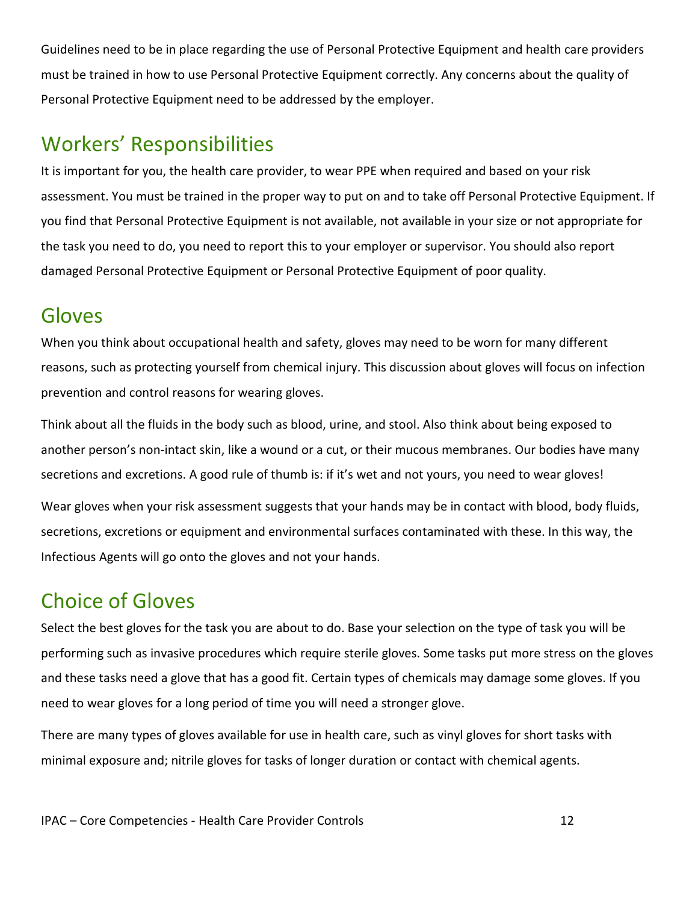Guidelines need to be in place regarding the use of Personal Protective Equipment and health care providers must be trained in how to use Personal Protective Equipment correctly. Any concerns about the quality of Personal Protective Equipment need to be addressed by the employer.

## <span id="page-11-0"></span>Workers' Responsibilities

It is important for you, the health care provider, to wear PPE when required and based on your risk assessment. You must be trained in the proper way to put on and to take off Personal Protective Equipment. If you find that Personal Protective Equipment is not available, not available in your size or not appropriate for the task you need to do, you need to report this to your employer or supervisor. You should also report damaged Personal Protective Equipment or Personal Protective Equipment of poor quality.

#### <span id="page-11-1"></span>Gloves

When you think about occupational health and safety, gloves may need to be worn for many different reasons, such as protecting yourself from chemical injury. This discussion about gloves will focus on infection prevention and control reasons for wearing gloves.

Think about all the fluids in the body such as blood, urine, and stool. Also think about being exposed to another person's non-intact skin, like a wound or a cut, or their mucous membranes. Our bodies have many secretions and excretions. A good rule of thumb is: if it's wet and not yours, you need to wear gloves!

Wear gloves when your risk assessment suggests that your hands may be in contact with blood, body fluids, secretions, excretions or equipment and environmental surfaces contaminated with these. In this way, the Infectious Agents will go onto the gloves and not your hands.

# <span id="page-11-2"></span>Choice of Gloves

Select the best gloves for the task you are about to do. Base your selection on the type of task you will be performing such as invasive procedures which require sterile gloves. Some tasks put more stress on the gloves and these tasks need a glove that has a good fit. Certain types of chemicals may damage some gloves. If you need to wear gloves for a long period of time you will need a stronger glove.

There are many types of gloves available for use in health care, such as vinyl gloves for short tasks with minimal exposure and; nitrile gloves for tasks of longer duration or contact with chemical agents.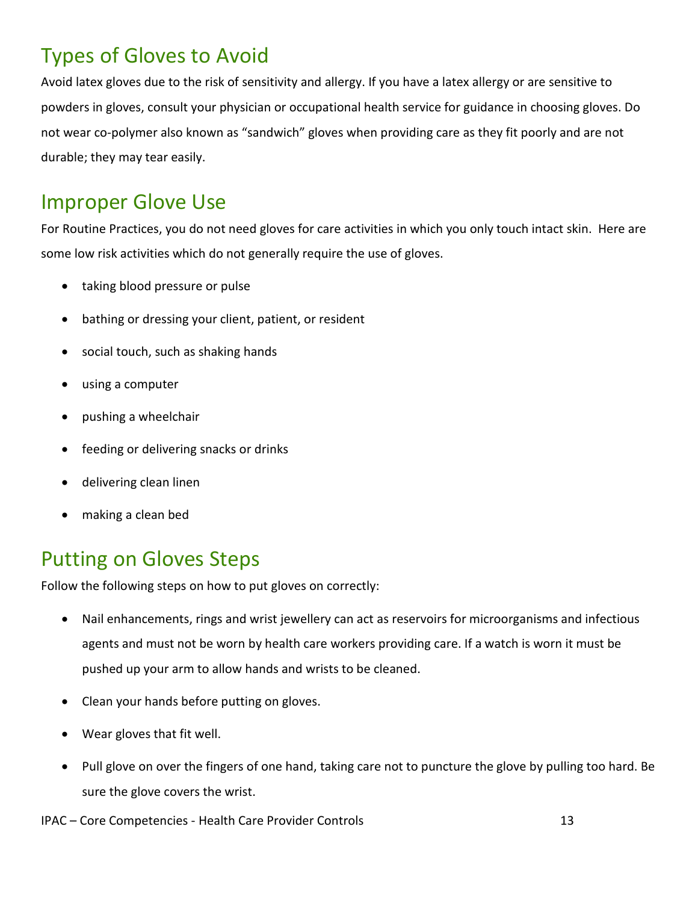# <span id="page-12-0"></span>Types of Gloves to Avoid

Avoid latex gloves due to the risk of sensitivity and allergy. If you have a latex allergy or are sensitive to powders in gloves, consult your physician or occupational health service for guidance in choosing gloves. Do not wear co-polymer also known as "sandwich" gloves when providing care as they fit poorly and are not durable; they may tear easily.

#### <span id="page-12-1"></span>Improper Glove Use

For Routine Practices, you do not need gloves for care activities in which you only touch intact skin. Here are some low risk activities which do not generally require the use of gloves.

- taking blood pressure or pulse
- bathing or dressing your client, patient, or resident
- social touch, such as shaking hands
- using a computer
- pushing a wheelchair
- feeding or delivering snacks or drinks
- delivering clean linen
- making a clean bed

#### <span id="page-12-2"></span>Putting on Gloves Steps

Follow the following steps on how to put gloves on correctly:

- Nail enhancements, rings and wrist jewellery can act as reservoirs for microorganisms and infectious agents and must not be worn by health care workers providing care. If a watch is worn it must be pushed up your arm to allow hands and wrists to be cleaned.
- Clean your hands before putting on gloves.
- Wear gloves that fit well.
- Pull glove on over the fingers of one hand, taking care not to puncture the glove by pulling too hard. Be sure the glove covers the wrist.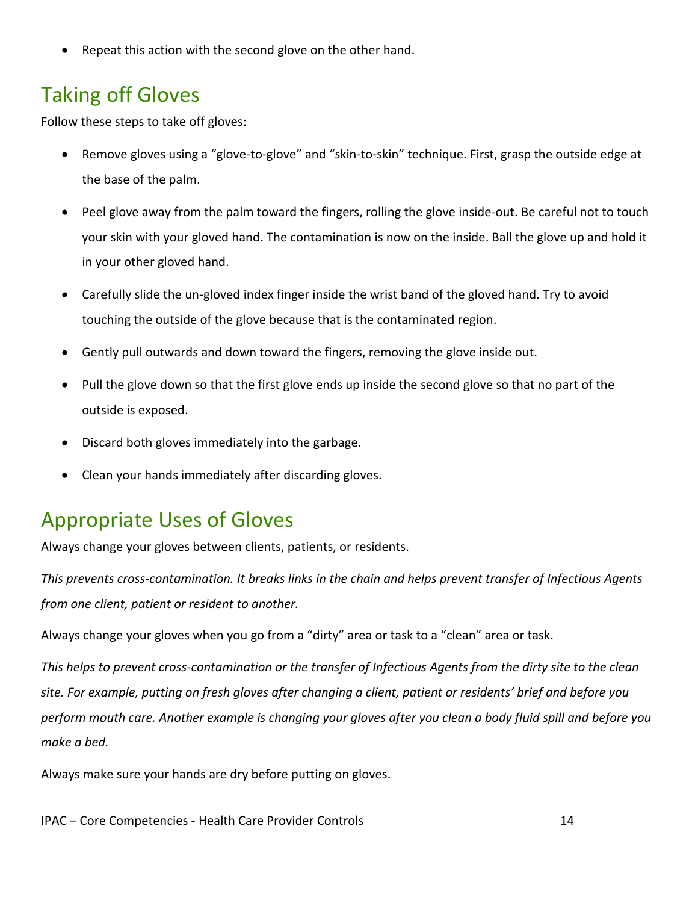Repeat this action with the second glove on the other hand.

## <span id="page-13-0"></span>Taking off Gloves

Follow these steps to take off gloves:

- Remove gloves using a "glove-to-glove" and "skin-to-skin" technique. First, grasp the outside edge at the base of the palm.
- Peel glove away from the palm toward the fingers, rolling the glove inside-out. Be careful not to touch your skin with your gloved hand. The contamination is now on the inside. Ball the glove up and hold it in your other gloved hand.
- Carefully slide the un-gloved index finger inside the wrist band of the gloved hand. Try to avoid touching the outside of the glove because that is the contaminated region.
- Gently pull outwards and down toward the fingers, removing the glove inside out.
- Pull the glove down so that the first glove ends up inside the second glove so that no part of the outside is exposed.
- Discard both gloves immediately into the garbage.
- Clean your hands immediately after discarding gloves.

#### <span id="page-13-1"></span>Appropriate Uses of Gloves

Always change your gloves between clients, patients, or residents.

*This prevents cross-contamination. It breaks links in the chain and helps prevent transfer of Infectious Agents from one client, patient or resident to another.*

Always change your gloves when you go from a "dirty" area or task to a "clean" area or task.

*This helps to prevent cross-contamination or the transfer of Infectious Agents from the dirty site to the clean site. For example, putting on fresh gloves after changing a client, patient or residents' brief and before you perform mouth care. Another example is changing your gloves after you clean a body fluid spill and before you make a bed.*

Always make sure your hands are dry before putting on gloves.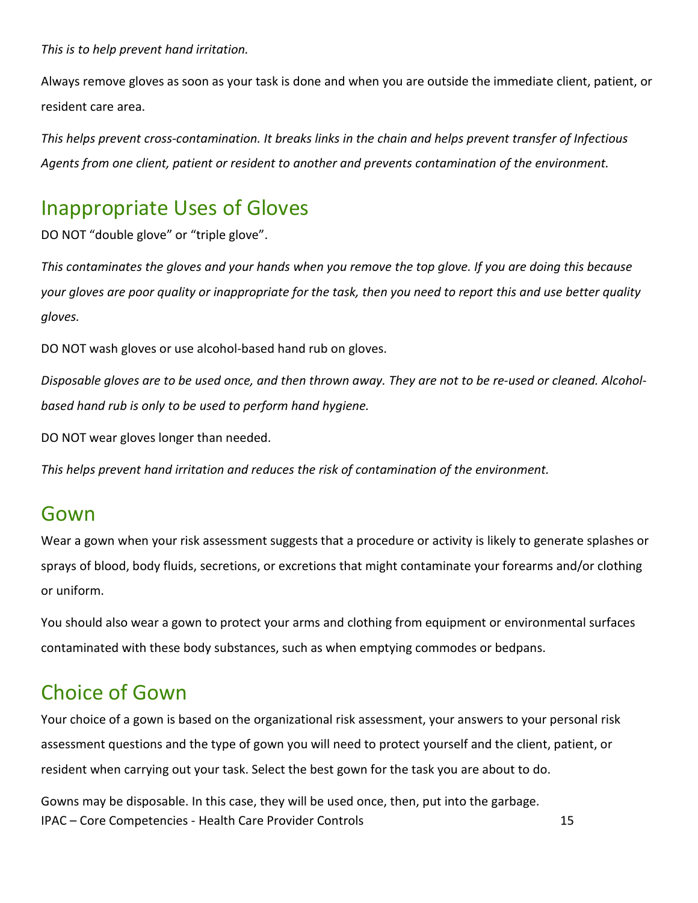*This is to help prevent hand irritation.*

Always remove gloves as soon as your task is done and when you are outside the immediate client, patient, or resident care area.

*This helps prevent cross-contamination. It breaks links in the chain and helps prevent transfer of Infectious Agents from one client, patient or resident to another and prevents contamination of the environment.*

#### <span id="page-14-0"></span>Inappropriate Uses of Gloves

DO NOT "double glove" or "triple glove".

*This contaminates the gloves and your hands when you remove the top glove. If you are doing this because your gloves are poor quality or inappropriate for the task, then you need to report this and use better quality gloves.*

DO NOT wash gloves or use alcohol-based hand rub on gloves.

*Disposable gloves are to be used once, and then thrown away. They are not to be re-used or cleaned. Alcoholbased hand rub is only to be used to perform hand hygiene.*

DO NOT wear gloves longer than needed.

*This helps prevent hand irritation and reduces the risk of contamination of the environment.*

#### <span id="page-14-1"></span>Gown

Wear a gown when your risk assessment suggests that a procedure or activity is likely to generate splashes or sprays of blood, body fluids, secretions, or excretions that might contaminate your forearms and/or clothing or uniform.

You should also wear a gown to protect your arms and clothing from equipment or environmental surfaces contaminated with these body substances, such as when emptying commodes or bedpans.

#### <span id="page-14-2"></span>Choice of Gown

Your choice of a gown is based on the organizational risk assessment, your answers to your personal risk assessment questions and the type of gown you will need to protect yourself and the client, patient, or resident when carrying out your task. Select the best gown for the task you are about to do.

IPAC – Core Competencies - Health Care Provider Controls 15 Gowns may be disposable. In this case, they will be used once, then, put into the garbage.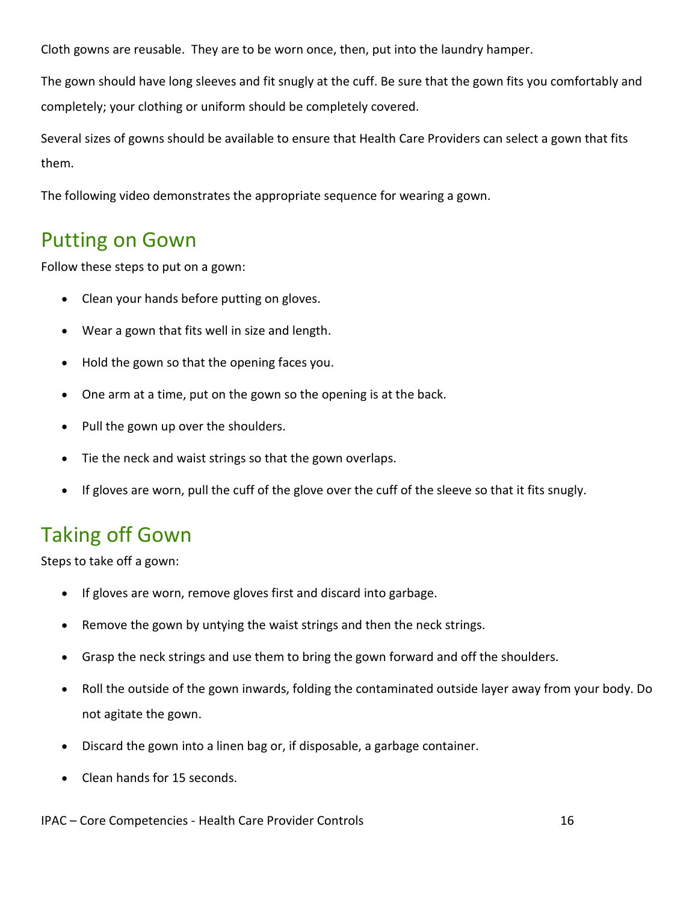Cloth gowns are reusable. They are to be worn once, then, put into the laundry hamper.

The gown should have long sleeves and fit snugly at the cuff. Be sure that the gown fits you comfortably and completely; your clothing or uniform should be completely covered.

Several sizes of gowns should be available to ensure that Health Care Providers can select a gown that fits them.

The following video demonstrates the appropriate sequence for wearing a gown.

#### <span id="page-15-0"></span>Putting on Gown

Follow these steps to put on a gown:

- Clean your hands before putting on gloves.
- Wear a gown that fits well in size and length.
- Hold the gown so that the opening faces you.
- One arm at a time, put on the gown so the opening is at the back.
- Pull the gown up over the shoulders.
- Tie the neck and waist strings so that the gown overlaps.
- If gloves are worn, pull the cuff of the glove over the cuff of the sleeve so that it fits snugly.

#### <span id="page-15-1"></span>Taking off Gown

Steps to take off a gown:

- If gloves are worn, remove gloves first and discard into garbage.
- Remove the gown by untying the waist strings and then the neck strings.
- Grasp the neck strings and use them to bring the gown forward and off the shoulders.
- Roll the outside of the gown inwards, folding the contaminated outside layer away from your body. Do not agitate the gown.
- Discard the gown into a linen bag or, if disposable, a garbage container.
- Clean hands for 15 seconds.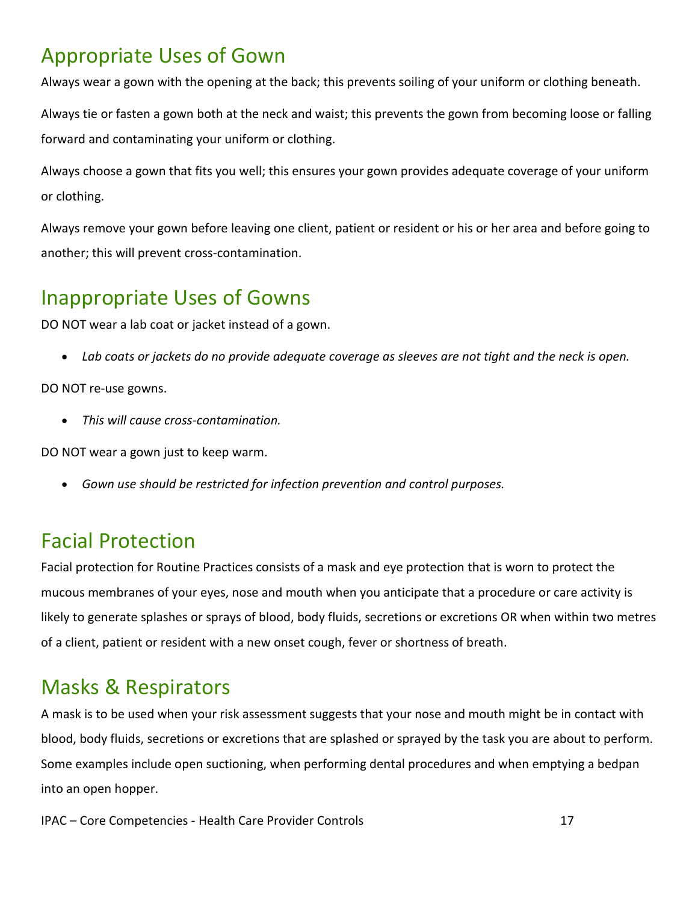# <span id="page-16-0"></span>Appropriate Uses of Gown

Always wear a gown with the opening at the back; this prevents soiling of your uniform or clothing beneath.

Always tie or fasten a gown both at the neck and waist; this prevents the gown from becoming loose or falling forward and contaminating your uniform or clothing.

Always choose a gown that fits you well; this ensures your gown provides adequate coverage of your uniform or clothing.

Always remove your gown before leaving one client, patient or resident or his or her area and before going to another; this will prevent cross-contamination.

#### <span id="page-16-1"></span>Inappropriate Uses of Gowns

DO NOT wear a lab coat or jacket instead of a gown.

• *Lab coats or jackets do no provide adequate coverage as sleeves are not tight and the neck is open.*

DO NOT re-use gowns.

• *This will cause cross-contamination.*

DO NOT wear a gown just to keep warm.

• *Gown use should be restricted for infection prevention and control purposes.*

# <span id="page-16-2"></span>Facial Protection

Facial protection for Routine Practices consists of a mask and eye protection that is worn to protect the mucous membranes of your eyes, nose and mouth when you anticipate that a procedure or care activity is likely to generate splashes or sprays of blood, body fluids, secretions or excretions OR when within two metres of a client, patient or resident with a new onset cough, fever or shortness of breath.

# <span id="page-16-3"></span>Masks & Respirators

A mask is to be used when your risk assessment suggests that your nose and mouth might be in contact with blood, body fluids, secretions or excretions that are splashed or sprayed by the task you are about to perform. Some examples include open suctioning, when performing dental procedures and when emptying a bedpan into an open hopper.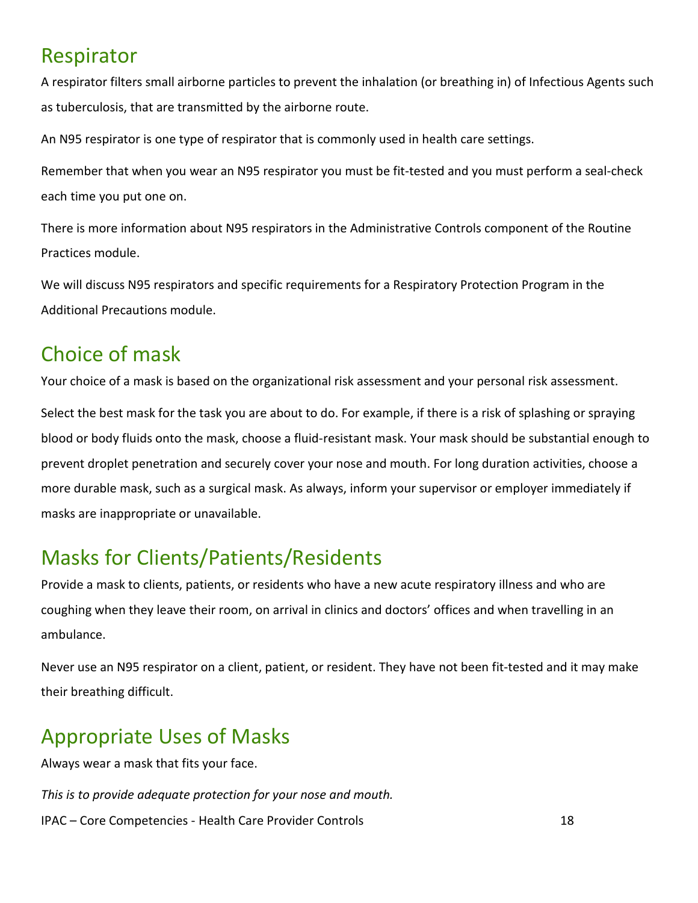#### <span id="page-17-0"></span>Respirator

A respirator filters small airborne particles to prevent the inhalation (or breathing in) of Infectious Agents such as tuberculosis, that are transmitted by the airborne route.

An N95 respirator is one type of respirator that is commonly used in health care settings.

Remember that when you wear an N95 respirator you must be fit-tested and you must perform a seal-check each time you put one on.

There is more information about N95 respirators in the Administrative Controls component of the Routine Practices module.

We will discuss N95 respirators and specific requirements for a Respiratory Protection Program in the Additional Precautions module.

#### <span id="page-17-1"></span>Choice of mask

Your choice of a mask is based on the organizational risk assessment and your personal risk assessment.

Select the best mask for the task you are about to do. For example, if there is a risk of splashing or spraying blood or body fluids onto the mask, choose a fluid-resistant mask. Your mask should be substantial enough to prevent droplet penetration and securely cover your nose and mouth. For long duration activities, choose a more durable mask, such as a surgical mask. As always, inform your supervisor or employer immediately if masks are inappropriate or unavailable.

# <span id="page-17-2"></span>Masks for Clients/Patients/Residents

Provide a mask to clients, patients, or residents who have a new acute respiratory illness and who are coughing when they leave their room, on arrival in clinics and doctors' offices and when travelling in an ambulance.

Never use an N95 respirator on a client, patient, or resident. They have not been fit-tested and it may make their breathing difficult.

# <span id="page-17-3"></span>Appropriate Uses of Masks

Always wear a mask that fits your face.

IPAC – Core Competencies - Health Care Provider Controls 18 *This is to provide adequate protection for your nose and mouth.*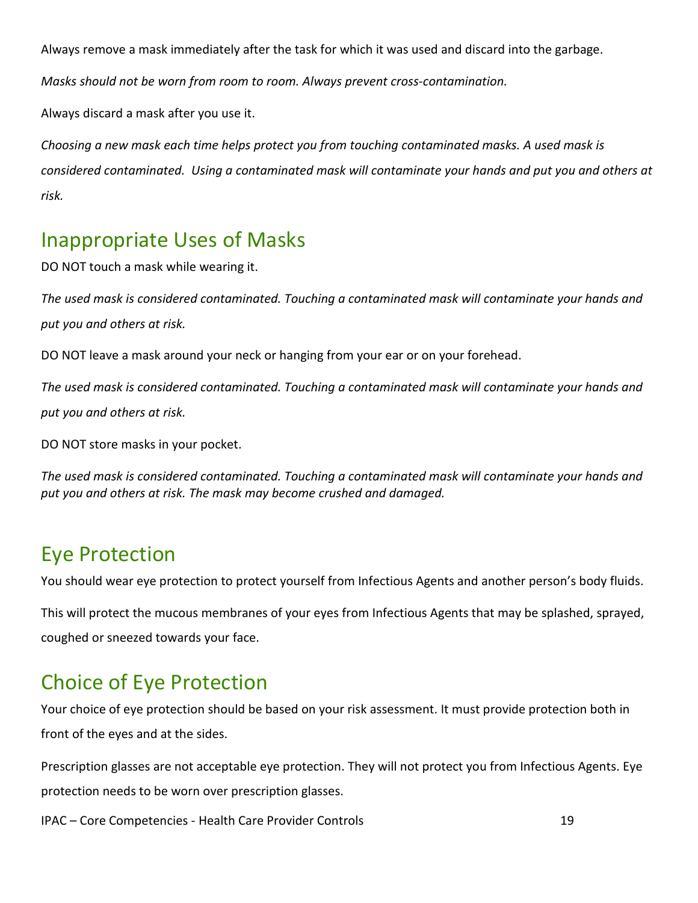Always remove a mask immediately after the task for which it was used and discard into the garbage.

*Masks should not be worn from room to room. Always prevent cross-contamination.*

Always discard a mask after you use it.

*Choosing a new mask each time helps protect you from touching contaminated masks. A used mask is considered contaminated. Using a contaminated mask will contaminate your hands and put you and others at risk.*

#### <span id="page-18-0"></span>Inappropriate Uses of Masks

DO NOT touch a mask while wearing it.

*The used mask is considered contaminated. Touching a contaminated mask will contaminate your hands and put you and others at risk.*

DO NOT leave a mask around your neck or hanging from your ear or on your forehead.

*The used mask is considered contaminated. Touching a contaminated mask will contaminate your hands and put you and others at risk.*

DO NOT store masks in your pocket.

*The used mask is considered contaminated. Touching a contaminated mask will contaminate your hands and put you and others at risk. The mask may become crushed and damaged.*

#### <span id="page-18-1"></span>Eye Protection

You should wear eye protection to protect yourself from Infectious Agents and another person's body fluids.

This will protect the mucous membranes of your eyes from Infectious Agents that may be splashed, sprayed, coughed or sneezed towards your face.

# <span id="page-18-2"></span>Choice of Eye Protection

Your choice of eye protection should be based on your risk assessment. It must provide protection both in front of the eyes and at the sides.

Prescription glasses are not acceptable eye protection. They will not protect you from Infectious Agents. Eye protection needs to be worn over prescription glasses.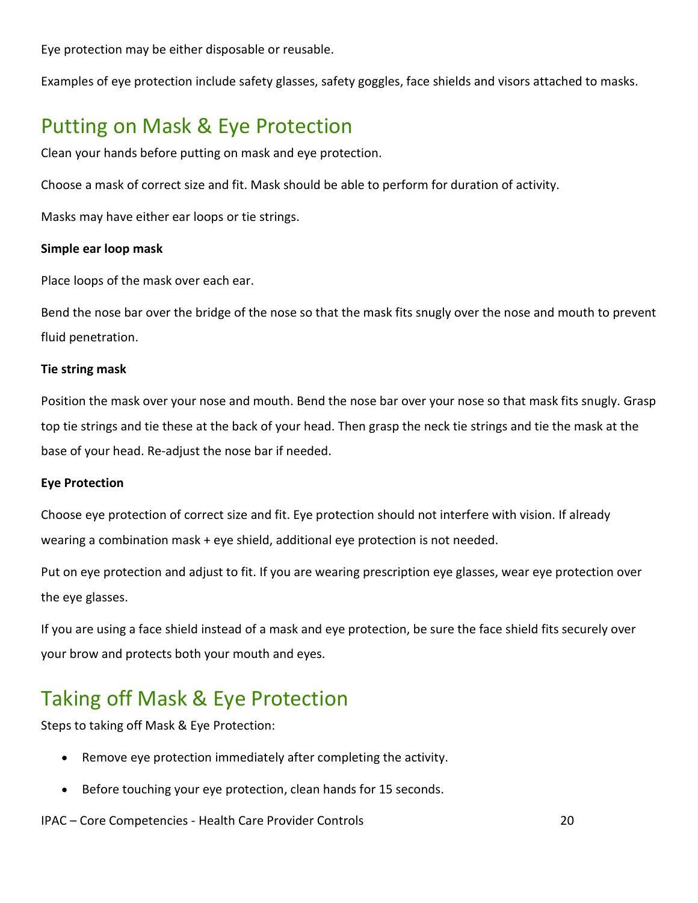Eye protection may be either disposable or reusable.

Examples of eye protection include safety glasses, safety goggles, face shields and visors attached to masks.

#### <span id="page-19-0"></span>Putting on Mask & Eye Protection

Clean your hands before putting on mask and eye protection.

Choose a mask of correct size and fit. Mask should be able to perform for duration of activity.

Masks may have either ear loops or tie strings.

#### **Simple ear loop mask**

Place loops of the mask over each ear.

Bend the nose bar over the bridge of the nose so that the mask fits snugly over the nose and mouth to prevent fluid penetration.

#### **Tie string mask**

Position the mask over your nose and mouth. Bend the nose bar over your nose so that mask fits snugly. Grasp top tie strings and tie these at the back of your head. Then grasp the neck tie strings and tie the mask at the base of your head. Re-adjust the nose bar if needed.

#### **Eye Protection**

Choose eye protection of correct size and fit. Eye protection should not interfere with vision. If already wearing a combination mask + eye shield, additional eye protection is not needed.

Put on eye protection and adjust to fit. If you are wearing prescription eye glasses, wear eye protection over the eye glasses.

If you are using a face shield instead of a mask and eye protection, be sure the face shield fits securely over your brow and protects both your mouth and eyes.

#### <span id="page-19-1"></span>Taking off Mask & Eye Protection

Steps to taking off Mask & Eye Protection:

- Remove eye protection immediately after completing the activity.
- Before touching your eye protection, clean hands for 15 seconds.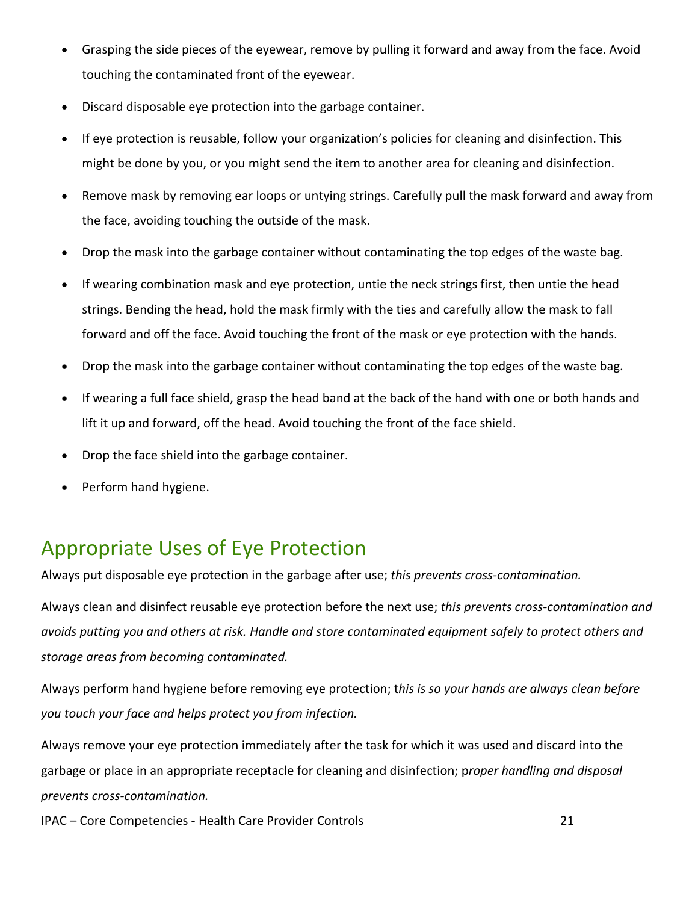- Grasping the side pieces of the eyewear, remove by pulling it forward and away from the face. Avoid touching the contaminated front of the eyewear.
- Discard disposable eye protection into the garbage container.
- If eye protection is reusable, follow your organization's policies for cleaning and disinfection. This might be done by you, or you might send the item to another area for cleaning and disinfection.
- Remove mask by removing ear loops or untying strings. Carefully pull the mask forward and away from the face, avoiding touching the outside of the mask.
- Drop the mask into the garbage container without contaminating the top edges of the waste bag.
- If wearing combination mask and eye protection, untie the neck strings first, then untie the head strings. Bending the head, hold the mask firmly with the ties and carefully allow the mask to fall forward and off the face. Avoid touching the front of the mask or eye protection with the hands.
- Drop the mask into the garbage container without contaminating the top edges of the waste bag.
- If wearing a full face shield, grasp the head band at the back of the hand with one or both hands and lift it up and forward, off the head. Avoid touching the front of the face shield.
- Drop the face shield into the garbage container.
- Perform hand hygiene.

# <span id="page-20-0"></span>Appropriate Uses of Eye Protection

Always put disposable eye protection in the garbage after use; *this prevents cross-contamination.*

Always clean and disinfect reusable eye protection before the next use; *this prevents cross-contamination and avoids putting you and others at risk. Handle and store contaminated equipment safely to protect others and storage areas from becoming contaminated.*

Always perform hand hygiene before removing eye protection; t*his is so your hands are always clean before you touch your face and helps protect you from infection.*

Always remove your eye protection immediately after the task for which it was used and discard into the garbage or place in an appropriate receptacle for cleaning and disinfection; p*roper handling and disposal prevents cross-contamination.*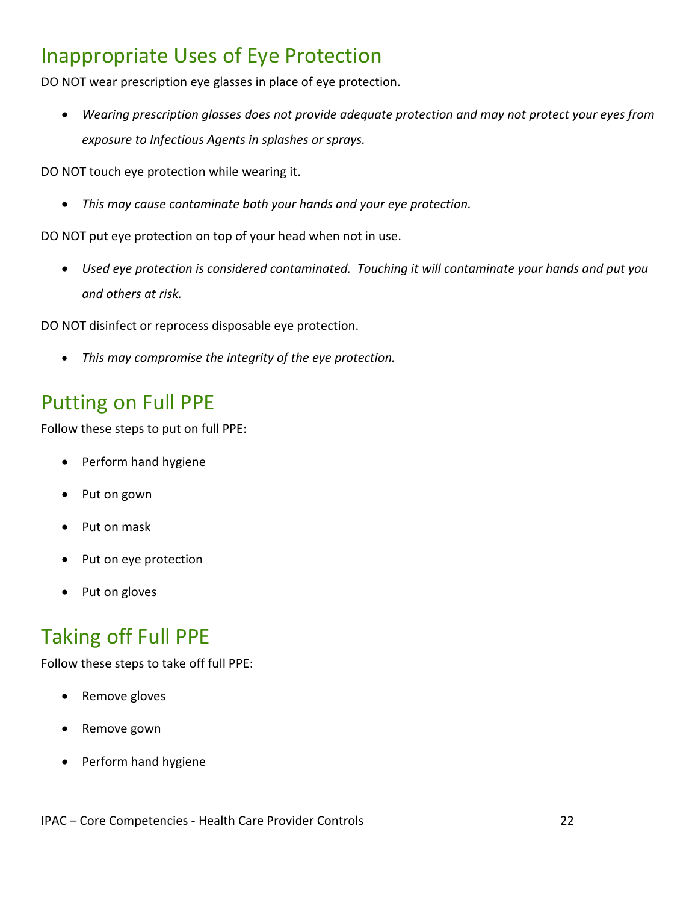#### <span id="page-21-0"></span>Inappropriate Uses of Eye Protection

DO NOT wear prescription eye glasses in place of eye protection.

• *Wearing prescription glasses does not provide adequate protection and may not protect your eyes from exposure to Infectious Agents in splashes or sprays.*

DO NOT touch eye protection while wearing it.

• *This may cause contaminate both your hands and your eye protection.*

DO NOT put eye protection on top of your head when not in use.

• *Used eye protection is considered contaminated. Touching it will contaminate your hands and put you and others at risk.*

DO NOT disinfect or reprocess disposable eye protection.

• *This may compromise the integrity of the eye protection.*

#### <span id="page-21-1"></span>Putting on Full PPE

Follow these steps to put on full PPE:

- Perform hand hygiene
- Put on gown
- Put on mask
- Put on eye protection
- Put on gloves

#### <span id="page-21-2"></span>Taking off Full PPE

Follow these steps to take off full PPE:

- Remove gloves
- Remove gown
- Perform hand hygiene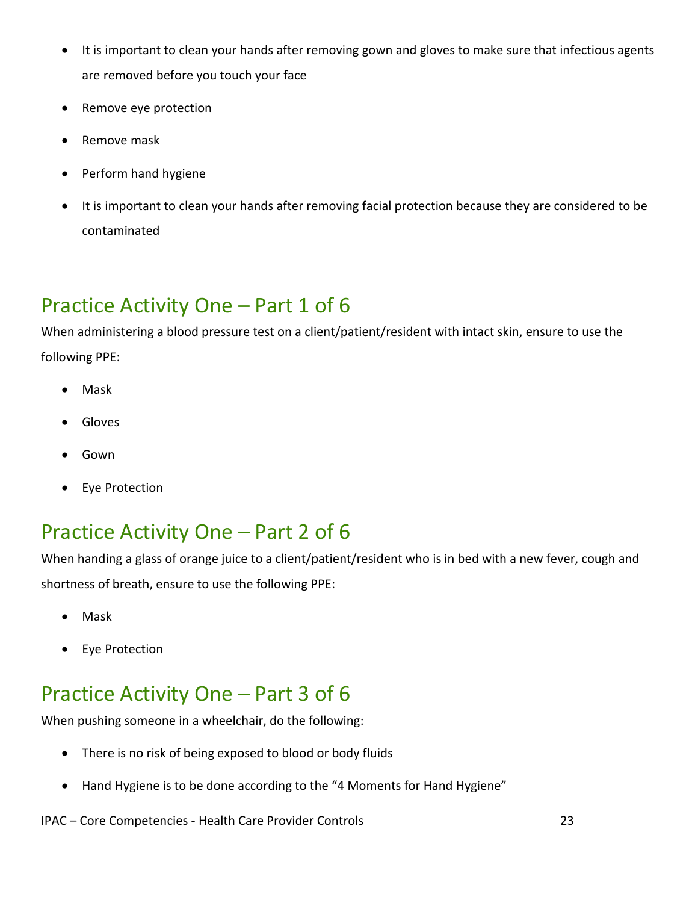- It is important to clean your hands after removing gown and gloves to make sure that infectious agents are removed before you touch your face
- Remove eye protection
- Remove mask
- Perform hand hygiene
- It is important to clean your hands after removing facial protection because they are considered to be contaminated

# <span id="page-22-0"></span>Practice Activity One – Part 1 of 6

When administering a blood pressure test on a client/patient/resident with intact skin, ensure to use the following PPE:

- Mask
- **Gloves**
- Gown
- Eye Protection

#### <span id="page-22-1"></span>Practice Activity One – Part 2 of 6

When handing a glass of orange juice to a client/patient/resident who is in bed with a new fever, cough and shortness of breath, ensure to use the following PPE:

- Mask
- Eye Protection

#### <span id="page-22-2"></span>Practice Activity One – Part 3 of 6

When pushing someone in a wheelchair, do the following:

- There is no risk of being exposed to blood or body fluids
- Hand Hygiene is to be done according to the "4 Moments for Hand Hygiene"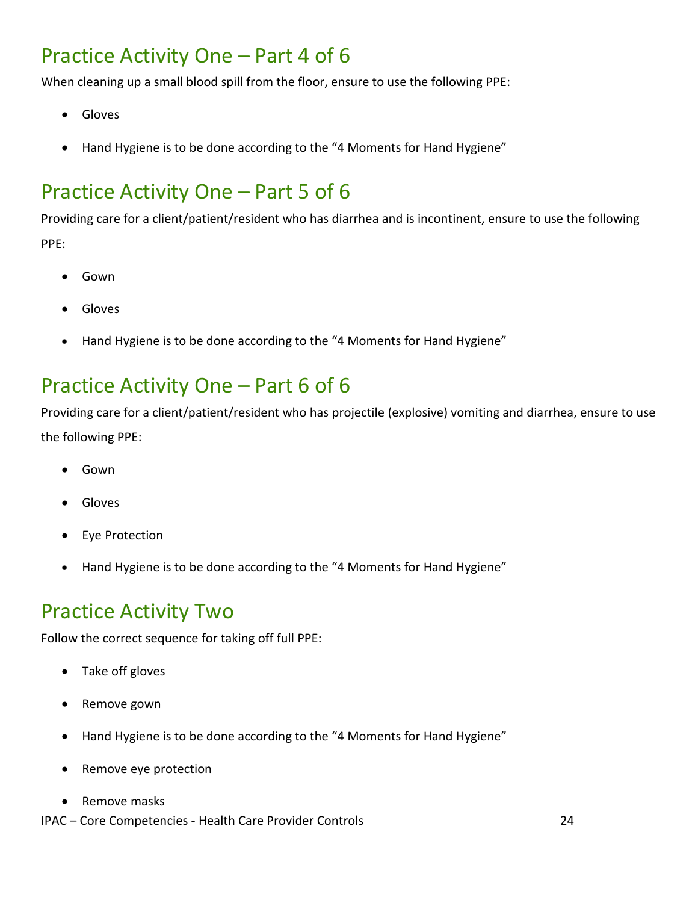#### <span id="page-23-0"></span>Practice Activity One – Part 4 of 6

When cleaning up a small blood spill from the floor, ensure to use the following PPE:

- Gloves
- Hand Hygiene is to be done according to the "4 Moments for Hand Hygiene"

# <span id="page-23-1"></span>Practice Activity One – Part 5 of 6

Providing care for a client/patient/resident who has diarrhea and is incontinent, ensure to use the following PPE:

- Gown
- Gloves
- Hand Hygiene is to be done according to the "4 Moments for Hand Hygiene"

# <span id="page-23-2"></span>Practice Activity One – Part 6 of 6

Providing care for a client/patient/resident who has projectile (explosive) vomiting and diarrhea, ensure to use the following PPE:

- Gown
- Gloves
- **Eye Protection**
- Hand Hygiene is to be done according to the "4 Moments for Hand Hygiene"

#### <span id="page-23-3"></span>Practice Activity Two

Follow the correct sequence for taking off full PPE:

- Take off gloves
- Remove gown
- Hand Hygiene is to be done according to the "4 Moments for Hand Hygiene"
- Remove eye protection
- Remove masks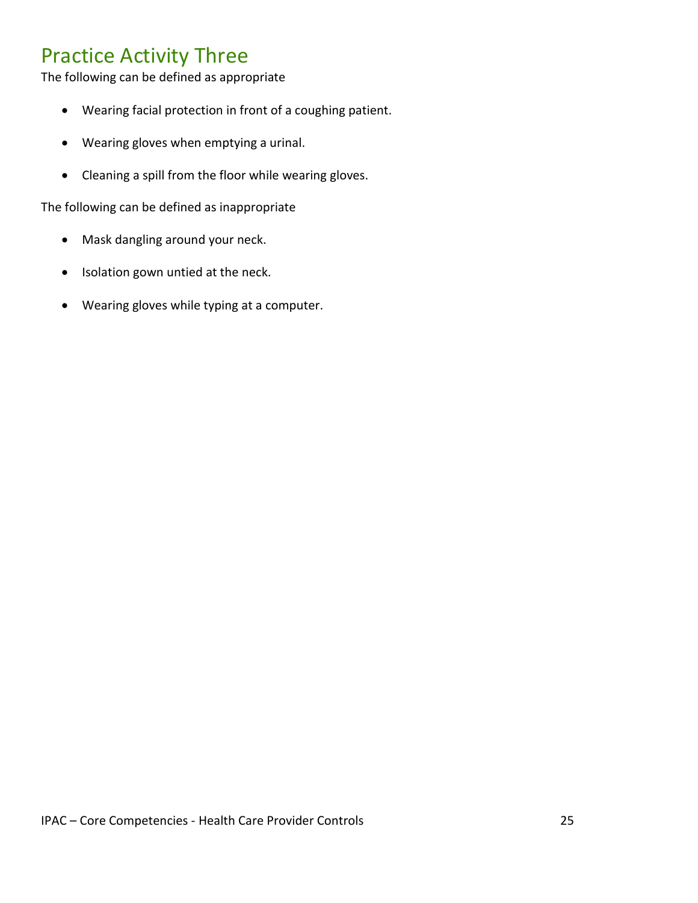#### <span id="page-24-0"></span>Practice Activity Three

The following can be defined as appropriate

- Wearing facial protection in front of a coughing patient.
- Wearing gloves when emptying a urinal.
- Cleaning a spill from the floor while wearing gloves.

The following can be defined as inappropriate

- Mask dangling around your neck.
- Isolation gown untied at the neck.
- Wearing gloves while typing at a computer.